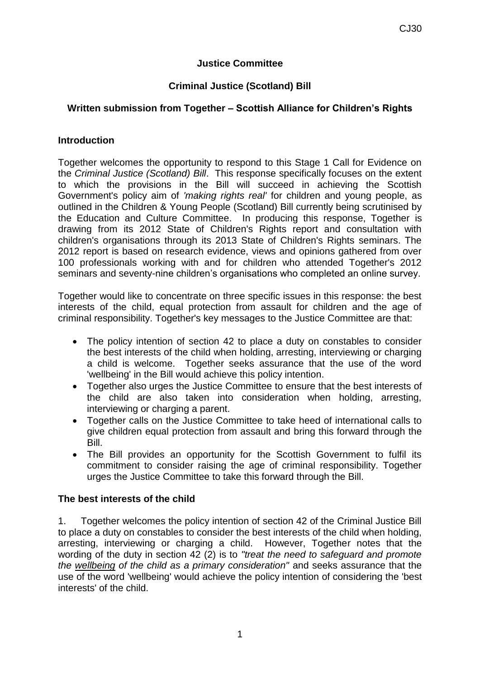## **Justice Committee**

## **Criminal Justice (Scotland) Bill**

# **Written submission from Together – Scottish Alliance for Children's Rights**

#### **Introduction**

Together welcomes the opportunity to respond to this Stage 1 Call for Evidence on the *Criminal Justice (Scotland) Bill*. This response specifically focuses on the extent to which the provisions in the Bill will succeed in achieving the Scottish Government's policy aim of *'making rights real'* for children and young people, as outlined in the Children & Young People (Scotland) Bill currently being scrutinised by the Education and Culture Committee. In producing this response, Together is drawing from its 2012 State of Children's Rights report and consultation with children's organisations through its 2013 State of Children's Rights seminars. The 2012 report is based on research evidence, views and opinions gathered from over 100 professionals working with and for children who attended Together's 2012 seminars and seventy-nine children's organisations who completed an online survey.

Together would like to concentrate on three specific issues in this response: the best interests of the child, equal protection from assault for children and the age of criminal responsibility. Together's key messages to the Justice Committee are that:

- The policy intention of section 42 to place a duty on constables to consider the best interests of the child when holding, arresting, interviewing or charging a child is welcome. Together seeks assurance that the use of the word 'wellbeing' in the Bill would achieve this policy intention.
- Together also urges the Justice Committee to ensure that the best interests of the child are also taken into consideration when holding, arresting, interviewing or charging a parent.
- Together calls on the Justice Committee to take heed of international calls to give children equal protection from assault and bring this forward through the Bill.
- The Bill provides an opportunity for the Scottish Government to fulfil its commitment to consider raising the age of criminal responsibility. Together urges the Justice Committee to take this forward through the Bill.

## **The best interests of the child**

1. Together welcomes the policy intention of section 42 of the Criminal Justice Bill to place a duty on constables to consider the best interests of the child when holding, arresting, interviewing or charging a child. However, Together notes that the wording of the duty in section 42 (2) is to *"treat the need to safeguard and promote the wellbeing of the child as a primary consideration"* and seeks assurance that the use of the word 'wellbeing' would achieve the policy intention of considering the 'best interests' of the child.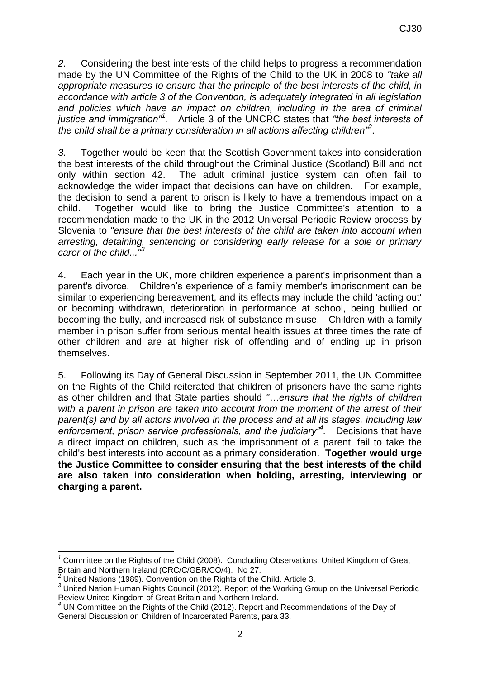*2.* Considering the best interests of the child helps to progress a recommendation made by the UN Committee of the Rights of the Child to the UK in 2008 to *"take all appropriate measures to ensure that the principle of the best interests of the child, in accordance with article 3 of the Convention, is adequately integrated in all legislation and policies which have an impact on children, including in the area of criminal*  justice and immigration<sup>"</sup>. Article 3 of the UNCRC states that "the best interests of *the child shall be a primary consideration in all actions affecting children"<sup>2</sup>* .

*3.* Together would be keen that the Scottish Government takes into consideration the best interests of the child throughout the Criminal Justice (Scotland) Bill and not only within section 42. The adult criminal justice system can often fail to acknowledge the wider impact that decisions can have on children. For example, the decision to send a parent to prison is likely to have a tremendous impact on a child. Together would like to bring the Justice Committee's attention to a recommendation made to the UK in the 2012 Universal Periodic Review process by Slovenia to *"ensure that the best interests of the child are taken into account when arresting, detaining, sentencing or considering early release for a sole or primary carer of the child..."<sup>3</sup>*

4. Each year in the UK, more children experience a parent's imprisonment than a parent's divorce. Children's experience of a family member's imprisonment can be similar to experiencing bereavement, and its effects may include the child 'acting out' or becoming withdrawn, deterioration in performance at school, being bullied or becoming the bully, and increased risk of substance misuse. Children with a family member in prison suffer from serious mental health issues at three times the rate of other children and are at higher risk of offending and of ending up in prison themselves.

5. Following its Day of General Discussion in September 2011, the UN Committee on the Rights of the Child reiterated that children of prisoners have the same rights as other children and that State parties should *"…ensure that the rights of children with a parent in prison are taken into account from the moment of the arrest of their parent(s) and by all actors involved in the process and at all its stages, including law enforcement, prison service professionals, and the judiciary"<sup>4</sup> .* Decisions that have a direct impact on children, such as the imprisonment of a parent, fail to take the child's best interests into account as a primary consideration. **Together would urge the Justice Committee to consider ensuring that the best interests of the child are also taken into consideration when holding, arresting, interviewing or charging a parent.**

**.** 

*<sup>1</sup>* Committee on the Rights of the Child (2008). Concluding Observations: United Kingdom of Great Britain and Northern Ireland (CRC/C/GBR/CO/4). No 27.

<sup>&</sup>lt;sup>2</sup> United Nations (1989). Convention on the Rights of the Child. Article 3.

*<sup>3</sup>* United Nation Human Rights Council (2012). Report of the Working Group on the Universal Periodic Review United Kingdom of Great Britain and Northern Ireland.

*<sup>4</sup>* UN Committee on the Rights of the Child (2012). Report and Recommendations of the Day of General Discussion on Children of Incarcerated Parents, para 33.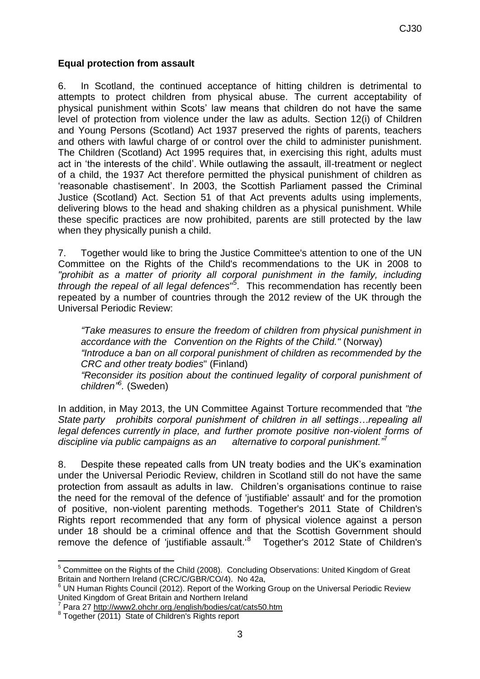#### **Equal protection from assault**

6. In Scotland, the continued acceptance of hitting children is detrimental to attempts to protect children from physical abuse. The current acceptability of physical punishment within Scots' law means that children do not have the same level of protection from violence under the law as adults. Section 12(i) of Children and Young Persons (Scotland) Act 1937 preserved the rights of parents, teachers and others with lawful charge of or control over the child to administer punishment. The Children (Scotland) Act 1995 requires that, in exercising this right, adults must act in 'the interests of the child'. While outlawing the assault, ill-treatment or neglect of a child, the 1937 Act therefore permitted the physical punishment of children as 'reasonable chastisement'. In 2003, the Scottish Parliament passed the Criminal Justice (Scotland) Act. Section 51 of that Act prevents adults using implements, delivering blows to the head and shaking children as a physical punishment. While these specific practices are now prohibited, parents are still protected by the law when they physically punish a child.

7. Together would like to bring the Justice Committee's attention to one of the UN Committee on the Rights of the Child's recommendations to the UK in 2008 to *"prohibit as a matter of priority all corporal punishment in the family, including through the repeal of all legal defences*" 5 . This recommendation has recently been repeated by a number of countries through the 2012 review of the UK through the Universal Periodic Review:

*"Take measures to ensure the freedom of children from physical punishment in accordance with the Convention on the Rights of the Child."* (Norway) *"Introduce a ban on all corporal punishment of children as recommended by the CRC and other treaty bodies*" (Finland)

*"Reconsider its position about the continued legality of corporal punishment of children" 6 .* (Sweden)

In addition, in May 2013, the UN Committee Against Torture recommended that *"the State party prohibits corporal punishment of children in all settings…repealing all legal defences currently in place, and further promote positive non-violent forms of discipline via public campaigns as an alternative to corporal punishment.*"

8. Despite these repeated calls from UN treaty bodies and the UK's examination under the Universal Periodic Review, children in Scotland still do not have the same protection from assault as adults in law. Children's organisations continue to raise the need for the removal of the defence of 'justifiable' assault' and for the promotion of positive, non-violent parenting methods. Together's 2011 State of Children's Rights report recommended that any form of physical violence against a person under 18 should be a criminal offence and that the Scottish Government should remove the defence of 'justifiable assault.'<sup>8</sup> Together's 2012 State of Children's

<sup>1</sup>  $5$  Committee on the Rights of the Child (2008). Concluding Observations: United Kingdom of Great Britain and Northern Ireland (CRC/C/GBR/CO/4). No 42a,

UN Human Rights Council (2012). Report of the Working Group on the Universal Periodic Review United Kingdom of Great Britain and Northern Ireland<br>7 Dere 27 http://www.2.obebr.org/onglish/bodies/ost/o

Para 27<http://www2.ohchr.org./english/bodies/cat/cats50.htm>

<sup>8</sup> Together (2011) State of Children's Rights report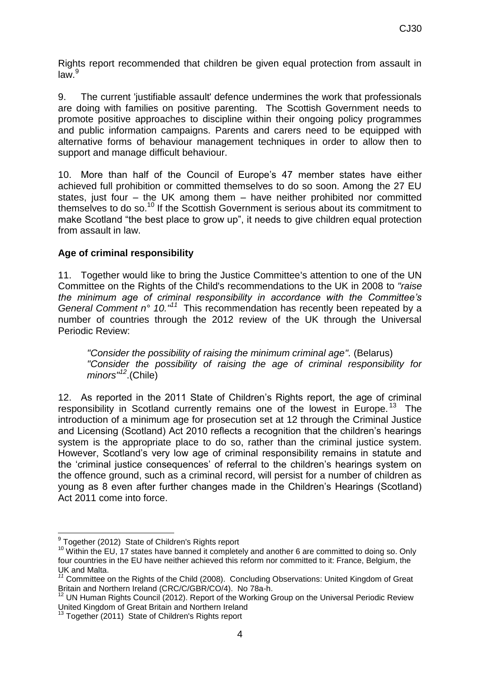Rights report recommended that children be given equal protection from assault in  $law<sup>9</sup>$ 

9. The current 'justifiable assault' defence undermines the work that professionals are doing with families on positive parenting. The Scottish Government needs to promote positive approaches to discipline within their ongoing policy programmes and public information campaigns. Parents and carers need to be equipped with alternative forms of behaviour management techniques in order to allow then to support and manage difficult behaviour.

10. More than half of the Council of Europe's 47 member states have either achieved full prohibition or committed themselves to do so soon. Among the 27 EU states, just four – the UK among them – have neither prohibited nor committed themselves to do so.<sup>10</sup> If the Scottish Government is serious about its commitment to make Scotland "the best place to grow up", it needs to give children equal protection from assault in law.

## **Age of criminal responsibility**

11. Together would like to bring the Justice Committee's attention to one of the UN Committee on the Rights of the Child's recommendations to the UK in 2008 to *"raise the minimum age of criminal responsibility in accordance with the Committee's General Comment n° 10.*<sup>"1</sup> This recommendation has recently been repeated by a number of countries through the 2012 review of the UK through the Universal Periodic Review:

*"Consider the possibility of raising the minimum criminal age".* (Belarus) *"Consider the possibility of raising the age of criminal responsibility for minors" <sup>12</sup>*.(Chile)

12. As reported in the 2011 State of Children's Rights report, the age of criminal responsibility in Scotland currently remains one of the lowest in Europe.<sup>13</sup> The introduction of a minimum age for prosecution set at 12 through the Criminal Justice and Licensing (Scotland) Act 2010 reflects a recognition that the children's hearings system is the appropriate place to do so, rather than the criminal justice system. However, Scotland's very low age of criminal responsibility remains in statute and the 'criminal justice consequences' of referral to the children's hearings system on the offence ground, such as a criminal record, will persist for a number of children as young as 8 even after further changes made in the Children's Hearings (Scotland) Act 2011 come into force.

 $\overline{\phantom{a}}$ <sup>9</sup> Together (2012) State of Children's Rights report

<sup>&</sup>lt;sup>10</sup> Within the EU, 17 states have banned it completely and another 6 are committed to doing so. Only four countries in the EU have neither achieved this reform nor committed to it: France, Belgium, the UK and Malta.

<sup>&</sup>lt;sup>11</sup> Committee on the Rights of the Child (2008). Concluding Observations: United Kingdom of Great Britain and Northern Ireland (CRC/C/GBR/CO/4). No 78a-h.

<sup>&</sup>lt;sup>12</sup> UN Human Rights Council (2012). Report of the Working Group on the Universal Periodic Review United Kingdom of Great Britain and Northern Ireland

<sup>&</sup>lt;sup>13</sup> Together (2011) State of Children's Rights report